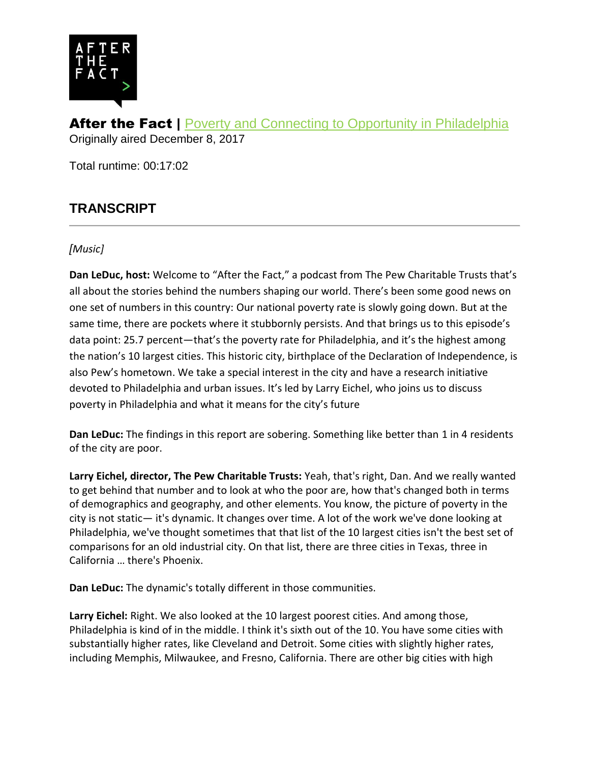

**After the Fact | [Poverty and Connecting to Opportunity in Philadelphia](http://www.pewtrusts.org/en/multimedia/audio/2017/poverty-and-connecting-to-opportunity-in-philadelphia)** Originally aired December 8, 2017

Total runtime: 00:17:02

# **TRANSCRIPT**

## *[Music]*

**Dan LeDuc, host:** Welcome to "After the Fact," a podcast from The Pew Charitable Trusts that's all about the stories behind the numbers shaping our world. There's been some good news on one set of numbers in this country: Our national poverty rate is slowly going down. But at the same time, there are pockets where it stubbornly persists. And that brings us to this episode's data point: 25.7 percent—that's the poverty rate for Philadelphia, and it's the highest among the nation's 10 largest cities. This historic city, birthplace of the Declaration of Independence, is also Pew's hometown. We take a special interest in the city and have a research initiative devoted to Philadelphia and urban issues. It's led by Larry Eichel, who joins us to discuss poverty in Philadelphia and what it means for the city's future

**Dan LeDuc:** The findings in this report are sobering. Something like better than 1 in 4 residents of the city are poor.

**Larry Eichel, director, The Pew Charitable Trusts:** Yeah, that's right, Dan. And we really wanted to get behind that number and to look at who the poor are, how that's changed both in terms of demographics and geography, and other elements. You know, the picture of poverty in the city is not static— it's dynamic. It changes over time. A lot of the work we've done looking at Philadelphia, we've thought sometimes that that list of the 10 largest cities isn't the best set of comparisons for an old industrial city. On that list, there are three cities in Texas, three in California … there's Phoenix.

**Dan LeDuc:** The dynamic's totally different in those communities.

**Larry Eichel:** Right. We also looked at the 10 largest poorest cities. And among those, Philadelphia is kind of in the middle. I think it's sixth out of the 10. You have some cities with substantially higher rates, like Cleveland and Detroit. Some cities with slightly higher rates, including Memphis, Milwaukee, and Fresno, California. There are other big cities with high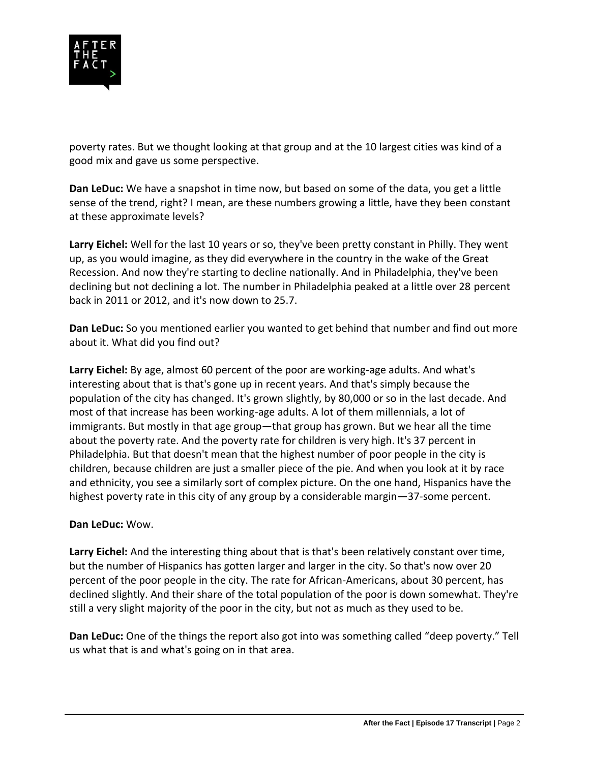

poverty rates. But we thought looking at that group and at the 10 largest cities was kind of a good mix and gave us some perspective.

**Dan LeDuc:** We have a snapshot in time now, but based on some of the data, you get a little sense of the trend, right? I mean, are these numbers growing a little, have they been constant at these approximate levels?

**Larry Eichel:** Well for the last 10 years or so, they've been pretty constant in Philly. They went up, as you would imagine, as they did everywhere in the country in the wake of the Great Recession. And now they're starting to decline nationally. And in Philadelphia, they've been declining but not declining a lot. The number in Philadelphia peaked at a little over 28 percent back in 2011 or 2012, and it's now down to 25.7.

**Dan LeDuc:** So you mentioned earlier you wanted to get behind that number and find out more about it. What did you find out?

**Larry Eichel:** By age, almost 60 percent of the poor are working-age adults. And what's interesting about that is that's gone up in recent years. And that's simply because the population of the city has changed. It's grown slightly, by 80,000 or so in the last decade. And most of that increase has been working-age adults. A lot of them millennials, a lot of immigrants. But mostly in that age group—that group has grown. But we hear all the time about the poverty rate. And the poverty rate for children is very high. It's 37 percent in Philadelphia. But that doesn't mean that the highest number of poor people in the city is children, because children are just a smaller piece of the pie. And when you look at it by race and ethnicity, you see a similarly sort of complex picture. On the one hand, Hispanics have the highest poverty rate in this city of any group by a considerable margin—37-some percent.

### **Dan LeDuc:** Wow.

**Larry Eichel:** And the interesting thing about that is that's been relatively constant over time, but the number of Hispanics has gotten larger and larger in the city. So that's now over 20 percent of the poor people in the city. The rate for African-Americans, about 30 percent, has declined slightly. And their share of the total population of the poor is down somewhat. They're still a very slight majority of the poor in the city, but not as much as they used to be.

**Dan LeDuc:** One of the things the report also got into was something called "deep poverty." Tell us what that is and what's going on in that area.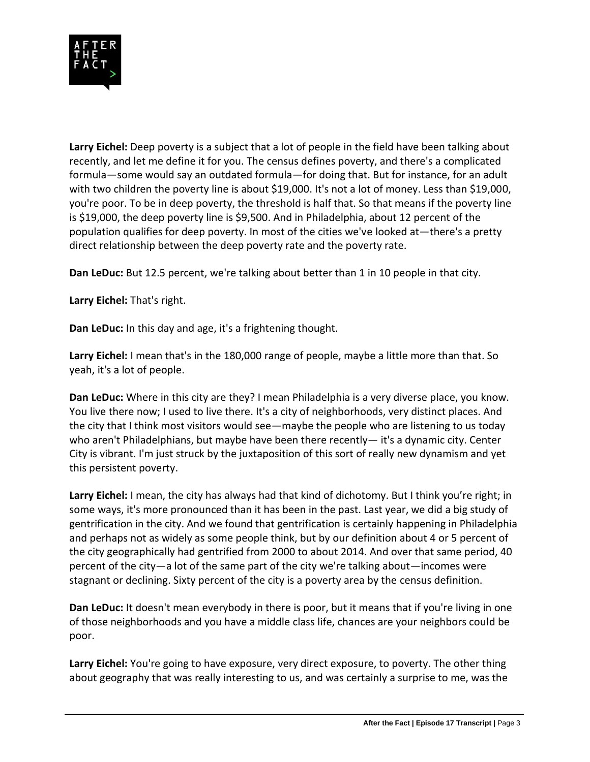

**Larry Eichel:** Deep poverty is a subject that a lot of people in the field have been talking about recently, and let me define it for you. The census defines poverty, and there's a complicated formula—some would say an outdated formula—for doing that. But for instance, for an adult with two children the poverty line is about \$19,000. It's not a lot of money. Less than \$19,000, you're poor. To be in deep poverty, the threshold is half that. So that means if the poverty line is \$19,000, the deep poverty line is \$9,500. And in Philadelphia, about 12 percent of the population qualifies for deep poverty. In most of the cities we've looked at—there's a pretty direct relationship between the deep poverty rate and the poverty rate.

**Dan LeDuc:** But 12.5 percent, we're talking about better than 1 in 10 people in that city.

**Larry Eichel:** That's right.

**Dan LeDuc:** In this day and age, it's a frightening thought.

**Larry Eichel:** I mean that's in the 180,000 range of people, maybe a little more than that. So yeah, it's a lot of people.

**Dan LeDuc:** Where in this city are they? I mean Philadelphia is a very diverse place, you know. You live there now; I used to live there. It's a city of neighborhoods, very distinct places. And the city that I think most visitors would see—maybe the people who are listening to us today who aren't Philadelphians, but maybe have been there recently— it's a dynamic city. Center City is vibrant. I'm just struck by the juxtaposition of this sort of really new dynamism and yet this persistent poverty.

**Larry Eichel:** I mean, the city has always had that kind of dichotomy. But I think you're right; in some ways, it's more pronounced than it has been in the past. Last year, we did a big study of gentrification in the city. And we found that gentrification is certainly happening in Philadelphia and perhaps not as widely as some people think, but by our definition about 4 or 5 percent of the city geographically had gentrified from 2000 to about 2014. And over that same period, 40 percent of the city—a lot of the same part of the city we're talking about—incomes were stagnant or declining. Sixty percent of the city is a poverty area by the census definition.

**Dan LeDuc:** It doesn't mean everybody in there is poor, but it means that if you're living in one of those neighborhoods and you have a middle class life, chances are your neighbors could be poor.

**Larry Eichel:** You're going to have exposure, very direct exposure, to poverty. The other thing about geography that was really interesting to us, and was certainly a surprise to me, was the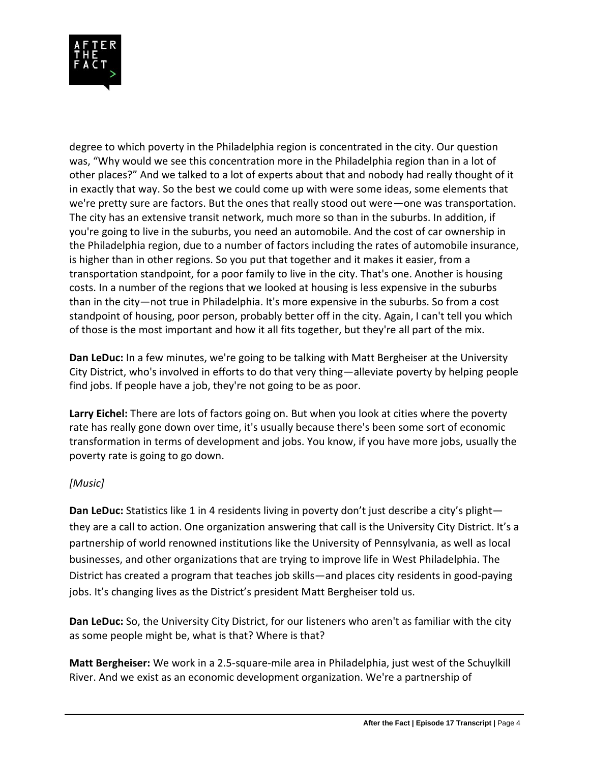

degree to which poverty in the Philadelphia region is concentrated in the city. Our question was, "Why would we see this concentration more in the Philadelphia region than in a lot of other places?" And we talked to a lot of experts about that and nobody had really thought of it in exactly that way. So the best we could come up with were some ideas, some elements that we're pretty sure are factors. But the ones that really stood out were—one was transportation. The city has an extensive transit network, much more so than in the suburbs. In addition, if you're going to live in the suburbs, you need an automobile. And the cost of car ownership in the Philadelphia region, due to a number of factors including the rates of automobile insurance, is higher than in other regions. So you put that together and it makes it easier, from a transportation standpoint, for a poor family to live in the city. That's one. Another is housing costs. In a number of the regions that we looked at housing is less expensive in the suburbs than in the city—not true in Philadelphia. It's more expensive in the suburbs. So from a cost standpoint of housing, poor person, probably better off in the city. Again, I can't tell you which of those is the most important and how it all fits together, but they're all part of the mix.

**Dan LeDuc:** In a few minutes, we're going to be talking with Matt Bergheiser at the University City District, who's involved in efforts to do that very thing—alleviate poverty by helping people find jobs. If people have a job, they're not going to be as poor.

**Larry Eichel:** There are lots of factors going on. But when you look at cities where the poverty rate has really gone down over time, it's usually because there's been some sort of economic transformation in terms of development and jobs. You know, if you have more jobs, usually the poverty rate is going to go down.

### *[Music]*

**Dan LeDuc:** Statistics like 1 in 4 residents living in poverty don't just describe a city's plight they are a call to action. One organization answering that call is the University City District. It's a partnership of world renowned institutions like the University of Pennsylvania, as well as local businesses, and other organizations that are trying to improve life in West Philadelphia. The District has created a program that teaches job skills—and places city residents in good-paying jobs. It's changing lives as the District's president Matt Bergheiser told us.

**Dan LeDuc:** So, the University City District, for our listeners who aren't as familiar with the city as some people might be, what is that? Where is that?

**Matt Bergheiser:** We work in a 2.5-square-mile area in Philadelphia, just west of the Schuylkill River. And we exist as an economic development organization. We're a partnership of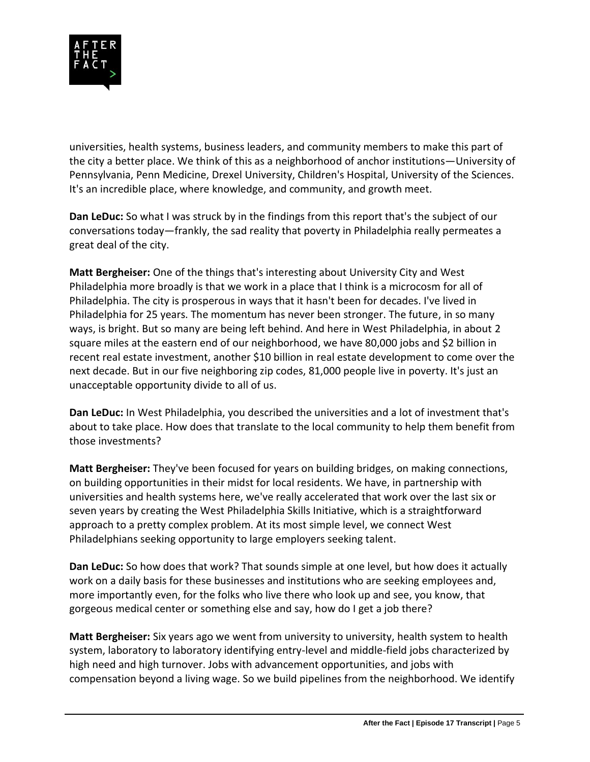

universities, health systems, business leaders, and community members to make this part of the city a better place. We think of this as a neighborhood of anchor institutions—University of Pennsylvania, Penn Medicine, Drexel University, Children's Hospital, University of the Sciences. It's an incredible place, where knowledge, and community, and growth meet.

**Dan LeDuc:** So what I was struck by in the findings from this report that's the subject of our conversations today—frankly, the sad reality that poverty in Philadelphia really permeates a great deal of the city.

**Matt Bergheiser:** One of the things that's interesting about University City and West Philadelphia more broadly is that we work in a place that I think is a microcosm for all of Philadelphia. The city is prosperous in ways that it hasn't been for decades. I've lived in Philadelphia for 25 years. The momentum has never been stronger. The future, in so many ways, is bright. But so many are being left behind. And here in West Philadelphia, in about 2 square miles at the eastern end of our neighborhood, we have 80,000 jobs and \$2 billion in recent real estate investment, another \$10 billion in real estate development to come over the next decade. But in our five neighboring zip codes, 81,000 people live in poverty. It's just an unacceptable opportunity divide to all of us.

**Dan LeDuc:** In West Philadelphia, you described the universities and a lot of investment that's about to take place. How does that translate to the local community to help them benefit from those investments?

**Matt Bergheiser:** They've been focused for years on building bridges, on making connections, on building opportunities in their midst for local residents. We have, in partnership with universities and health systems here, we've really accelerated that work over the last six or seven years by creating the West Philadelphia Skills Initiative, which is a straightforward approach to a pretty complex problem. At its most simple level, we connect West Philadelphians seeking opportunity to large employers seeking talent.

**Dan LeDuc:** So how does that work? That sounds simple at one level, but how does it actually work on a daily basis for these businesses and institutions who are seeking employees and, more importantly even, for the folks who live there who look up and see, you know, that gorgeous medical center or something else and say, how do I get a job there?

**Matt Bergheiser:** Six years ago we went from university to university, health system to health system, laboratory to laboratory identifying entry-level and middle-field jobs characterized by high need and high turnover. Jobs with advancement opportunities, and jobs with compensation beyond a living wage. So we build pipelines from the neighborhood. We identify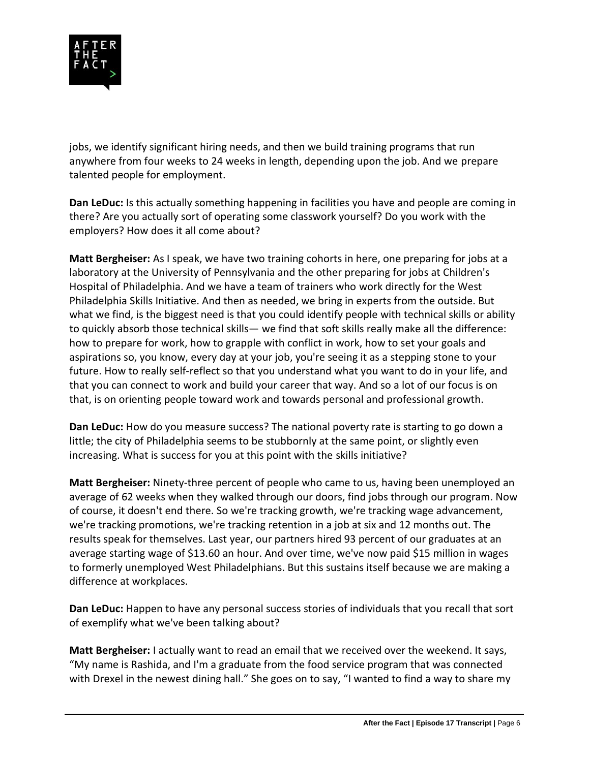

jobs, we identify significant hiring needs, and then we build training programs that run anywhere from four weeks to 24 weeks in length, depending upon the job. And we prepare talented people for employment.

**Dan LeDuc:** Is this actually something happening in facilities you have and people are coming in there? Are you actually sort of operating some classwork yourself? Do you work with the employers? How does it all come about?

**Matt Bergheiser:** As I speak, we have two training cohorts in here, one preparing for jobs at a laboratory at the University of Pennsylvania and the other preparing for jobs at Children's Hospital of Philadelphia. And we have a team of trainers who work directly for the West Philadelphia Skills Initiative. And then as needed, we bring in experts from the outside. But what we find, is the biggest need is that you could identify people with technical skills or ability to quickly absorb those technical skills— we find that soft skills really make all the difference: how to prepare for work, how to grapple with conflict in work, how to set your goals and aspirations so, you know, every day at your job, you're seeing it as a stepping stone to your future. How to really self-reflect so that you understand what you want to do in your life, and that you can connect to work and build your career that way. And so a lot of our focus is on that, is on orienting people toward work and towards personal and professional growth.

**Dan LeDuc:** How do you measure success? The national poverty rate is starting to go down a little; the city of Philadelphia seems to be stubbornly at the same point, or slightly even increasing. What is success for you at this point with the skills initiative?

**Matt Bergheiser:** Ninety-three percent of people who came to us, having been unemployed an average of 62 weeks when they walked through our doors, find jobs through our program. Now of course, it doesn't end there. So we're tracking growth, we're tracking wage advancement, we're tracking promotions, we're tracking retention in a job at six and 12 months out. The results speak for themselves. Last year, our partners hired 93 percent of our graduates at an average starting wage of \$13.60 an hour. And over time, we've now paid \$15 million in wages to formerly unemployed West Philadelphians. But this sustains itself because we are making a difference at workplaces.

**Dan LeDuc:** Happen to have any personal success stories of individuals that you recall that sort of exemplify what we've been talking about?

**Matt Bergheiser:** I actually want to read an email that we received over the weekend. It says, "My name is Rashida, and I'm a graduate from the food service program that was connected with Drexel in the newest dining hall." She goes on to say, "I wanted to find a way to share my